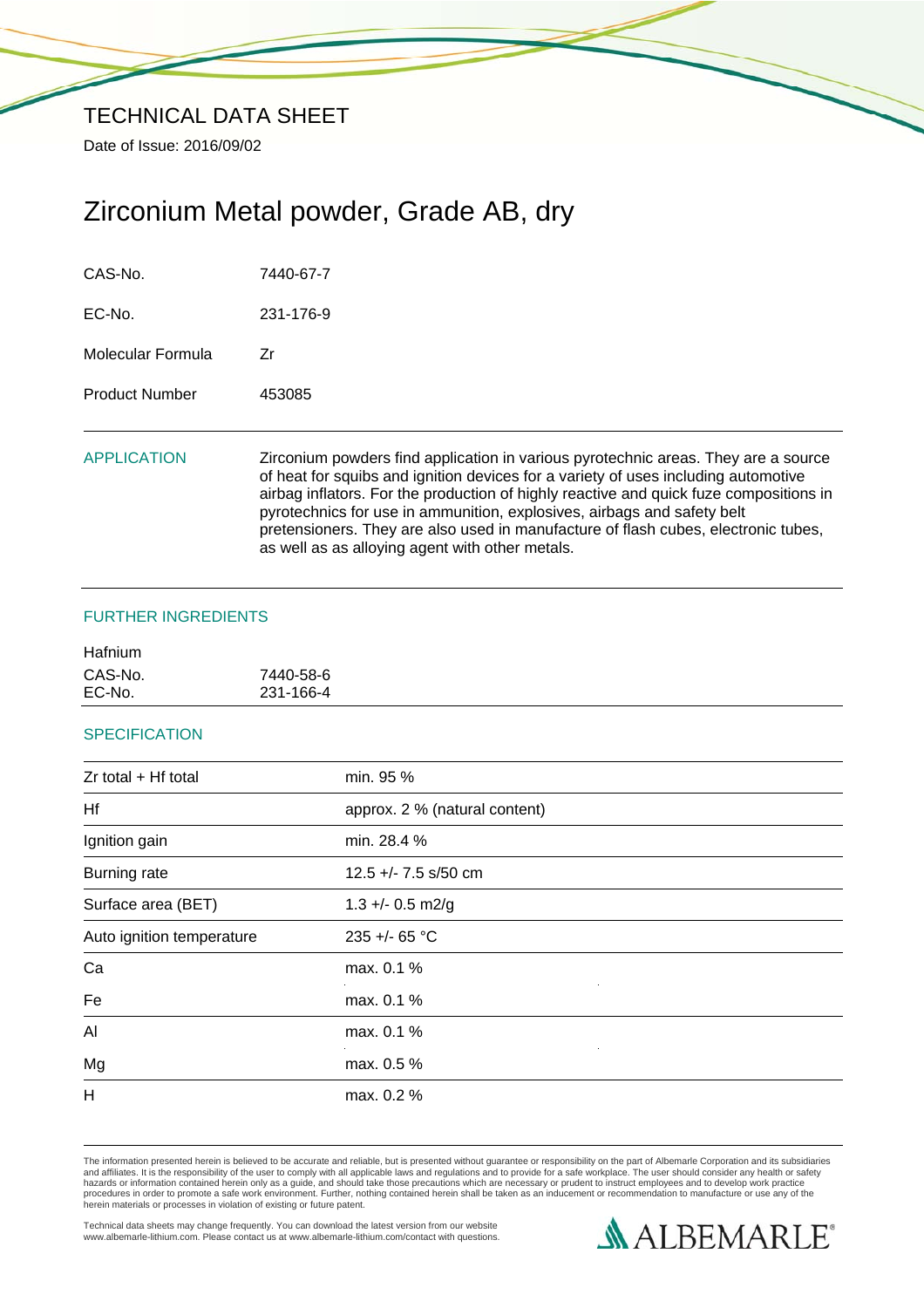Date of Issue: 2016/09/02

# Zirconium Metal powder, Grade AB, dry

| CAS-No.               | 7440-67-7                                                                                                                                                                                                                                                                                                                                                                                                                                                                              |
|-----------------------|----------------------------------------------------------------------------------------------------------------------------------------------------------------------------------------------------------------------------------------------------------------------------------------------------------------------------------------------------------------------------------------------------------------------------------------------------------------------------------------|
| $EC-No$               | 231-176-9                                                                                                                                                                                                                                                                                                                                                                                                                                                                              |
| Molecular Formula     | Zr                                                                                                                                                                                                                                                                                                                                                                                                                                                                                     |
| <b>Product Number</b> | 453085                                                                                                                                                                                                                                                                                                                                                                                                                                                                                 |
| <b>APPLICATION</b>    | Zirconium powders find application in various pyrotechnic areas. They are a source<br>of heat for squibs and ignition devices for a variety of uses including automotive<br>airbag inflators. For the production of highly reactive and quick fuze compositions in<br>pyrotechnics for use in ammunition, explosives, airbags and safety belt<br>pretensioners. They are also used in manufacture of flash cubes, electronic tubes,<br>as well as as alloying agent with other metals. |

# FURTHER INGREDIENTS

| <b>Hafnium</b> |           |
|----------------|-----------|
| CAS-No.        | 7440-58-6 |
| EC-No.         | 231-166-4 |

# **SPECIFICATION**

| min. 95 %                     |  |
|-------------------------------|--|
|                               |  |
| approx. 2 % (natural content) |  |
| min. 28.4 %                   |  |
| 12.5 +/- 7.5 s/50 cm          |  |
| $1.3 +/- 0.5$ m2/g            |  |
| 235 +/- 65 °C                 |  |
| max. 0.1 %                    |  |
| max. 0.1 %                    |  |
| max. 0.1 %                    |  |
| max. 0.5 %                    |  |
| max. 0.2 %                    |  |
|                               |  |

The information presented herein is believed to be accurate and reliable, but is presented without guarantee or responsibility on the part of Albemarle Corporation and its subsidiaries<br>and affiliates. It is the responsibil

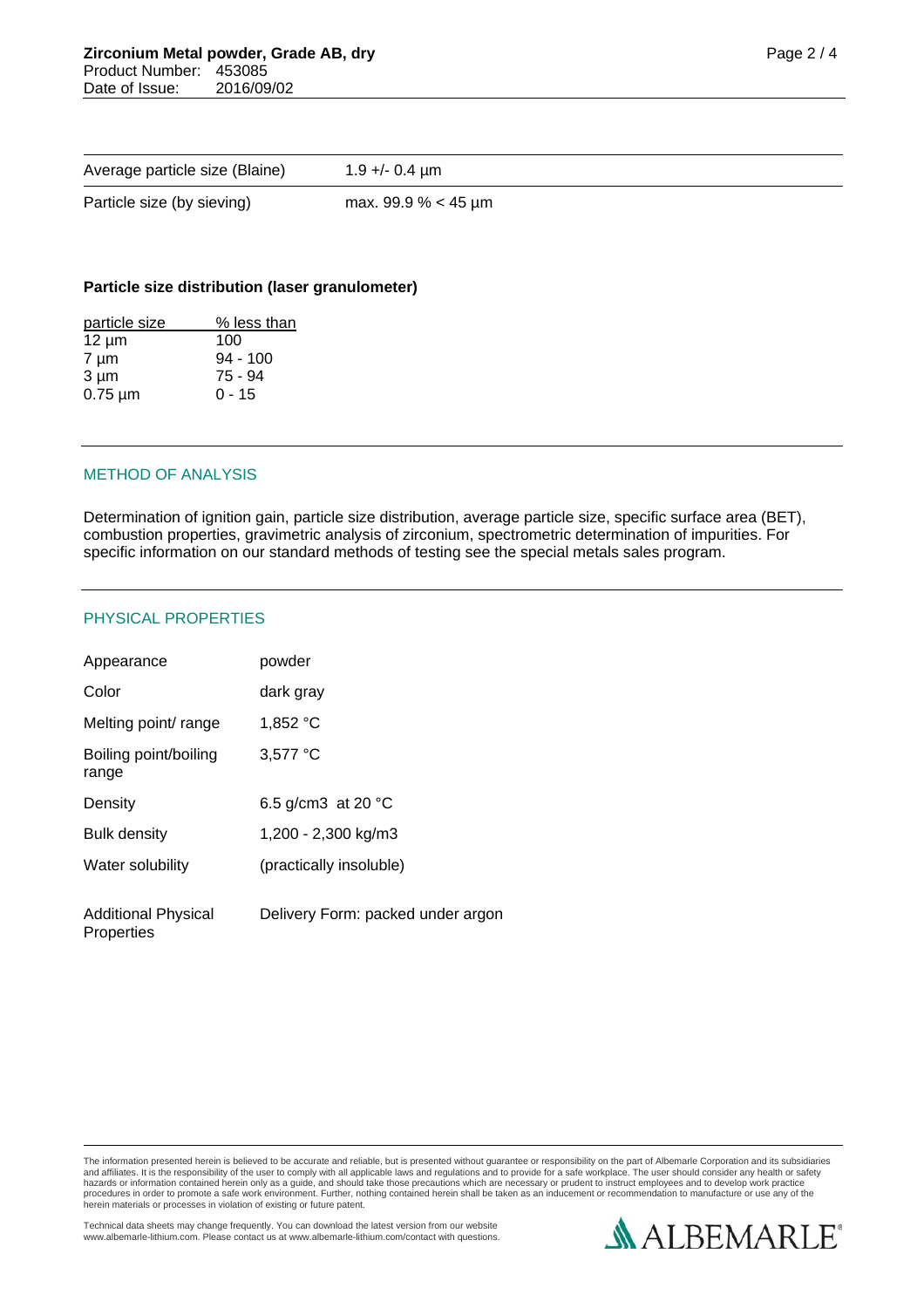| Average particle size (Blaine) | $1.9 + - 0.4$ µm      |
|--------------------------------|-----------------------|
| Particle size (by sieving)     | max. 99.9 % $<$ 45 µm |

### **Particle size distribution (laser granulometer)**

| particle size | % less than |
|---------------|-------------|
| $12 \mu m$    | 100         |
| $7 \mu m$     | $94 - 100$  |
| $3 \mu m$     | $75 - 94$   |
| $0.75 \mu m$  | $0 - 15$    |
|               |             |

# METHOD OF ANALYSIS

Determination of ignition gain, particle size distribution, average particle size, specific surface area (BET), combustion properties, gravimetric analysis of zirconium, spectrometric determination of impurities. For specific information on our standard methods of testing see the special metals sales program.

#### PHYSICAL PROPERTIES

| Appearance                               | powder                            |
|------------------------------------------|-----------------------------------|
| Color                                    | dark grav                         |
| Melting point/ range                     | 1,852 °C                          |
| Boiling point/boiling<br>range           | 3,577 °C                          |
| Density                                  | 6.5 g/cm3 at 20 $^{\circ}$ C      |
| <b>Bulk density</b>                      | 1,200 - 2,300 kg/m3               |
| Water solubility                         | (practically insoluble)           |
| <b>Additional Physical</b><br>Properties | Delivery Form: packed under argon |

The information presented herein is believed to be accurate and reliable, but is presented without guarantee or responsibility on the part of Albemarle Corporation and its subsidiaries<br>and affiliates. It is the responsibil

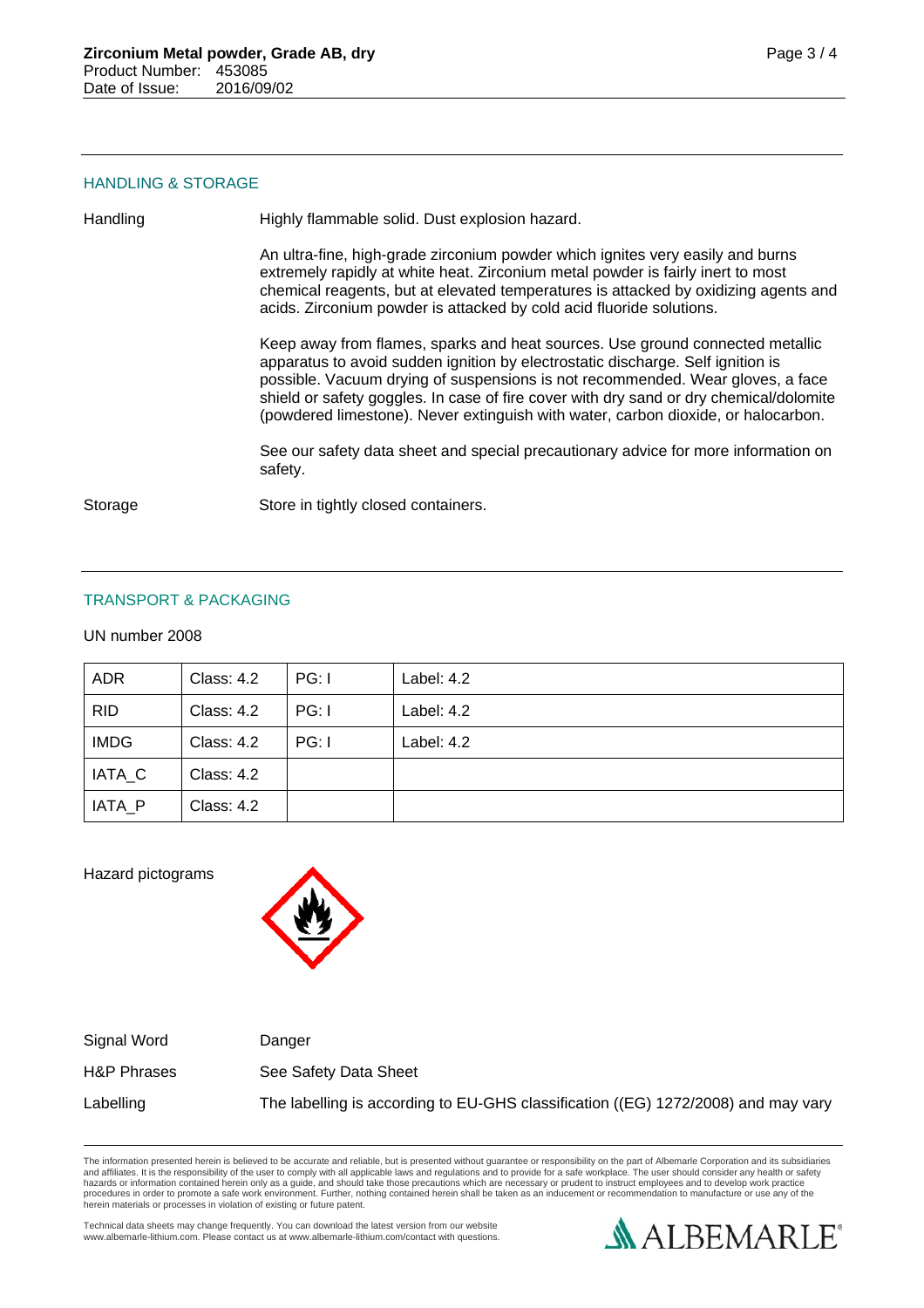### HANDLING & STORAGE

Handling Highly flammable solid. Dust explosion hazard.

An ultra-fine, high-grade zirconium powder which ignites very easily and burns extremely rapidly at white heat. Zirconium metal powder is fairly inert to most chemical reagents, but at elevated temperatures is attacked by oxidizing agents and acids. Zirconium powder is attacked by cold acid fluoride solutions.

Keep away from flames, sparks and heat sources. Use ground connected metallic apparatus to avoid sudden ignition by electrostatic discharge. Self ignition is possible. Vacuum drying of suspensions is not recommended. Wear gloves, a face shield or safety goggles. In case of fire cover with dry sand or dry chemical/dolomite (powdered limestone). Never extinguish with water, carbon dioxide, or halocarbon.

See our safety data sheet and special precautionary advice for more information on safety.

Storage Store in tightly closed containers.

# TRANSPORT & PACKAGING

UN number 2008

| <b>ADR</b>  | <b>Class: 4.2</b> | PG: I | Label: 4.2 |
|-------------|-------------------|-------|------------|
| <b>RID</b>  | <b>Class: 4.2</b> | PG: I | Label: 4.2 |
| <b>IMDG</b> | <b>Class: 4.2</b> | PG: I | Label: 4.2 |
| IATA C      | <b>Class: 4.2</b> |       |            |
| IATA P      | <b>Class: 4.2</b> |       |            |

Hazard pictograms



Signal Word Danger H&P Phrases See Safety Data Sheet Labelling The labelling is according to EU-GHS classification ((EG) 1272/2008) and may vary

The information presented herein is believed to be accurate and reliable, but is presented without guarantee or responsibility on the part of Albemarle Corporation and its subsidiaries<br>and affiliates. It is the responsibil hazards or information contained herein only as a guide, and should take those precautions which are necessary or prudent to instruct employees and to develop work practice<br>procedures in order to promote a safe work enviro